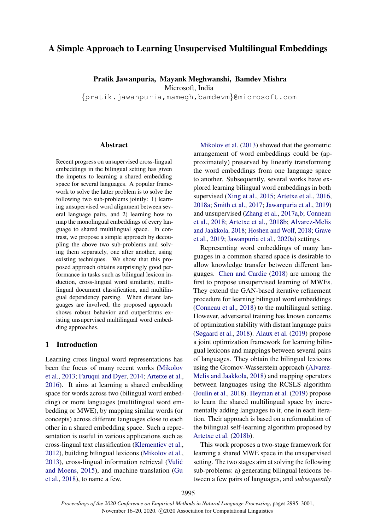# A Simple Approach to Learning Unsupervised Multilingual Embeddings

Pratik Jawanpuria, Mayank Meghwanshi, Bamdev Mishra Microsoft, India

{pratik.jawanpuria,mamegh,bamdevm}@microsoft.com

## Abstract

Recent progress on unsupervised cross-lingual embeddings in the bilingual setting has given the impetus to learning a shared embedding space for several languages. A popular framework to solve the latter problem is to solve the following two sub-problems jointly: 1) learning unsupervised word alignment between several language pairs, and 2) learning how to map the monolingual embeddings of every language to shared multilingual space. In contrast, we propose a simple approach by decoupling the above two sub-problems and solving them separately, one after another, using existing techniques. We show that this proposed approach obtains surprisingly good performance in tasks such as bilingual lexicon induction, cross-lingual word similarity, multilingual document classification, and multilingual dependency parsing. When distant languages are involved, the proposed approach shows robust behavior and outperforms existing unsupervised multilingual word embedding approaches.

## 1 Introduction

Learning cross-lingual word representations has been the focus of many recent works [\(Mikolov](#page-6-0) [et al.,](#page-6-0) [2013;](#page-6-0) [Faruqui and Dyer,](#page-5-0) [2014;](#page-5-0) [Artetxe et al.,](#page-5-1) [2016\)](#page-5-1). It aims at learning a shared embedding space for words across two (bilingual word embedding) or more languages (multilingual word embedding or MWE), by mapping similar words (or concepts) across different languages close to each other in a shared embedding space. Such a representation is useful in various applications such as cross-lingual text classification [\(Klementiev et al.,](#page-6-1) [2012\)](#page-6-1), building bilingual lexicons [\(Mikolov et al.,](#page-6-0) [2013\)](#page-6-0), cross-lingual information retrieval [\(Vulic´](#page-6-2) [and Moens,](#page-6-2) [2015\)](#page-6-2), and machine translation [\(Gu](#page-5-2) [et al.,](#page-5-2) [2018\)](#page-5-2), to name a few.

[Mikolov et al.](#page-6-0) [\(2013\)](#page-6-0) showed that the geometric arrangement of word embeddings could be (approximately) preserved by linearly transforming the word embeddings from one language space to another. Subsequently, several works have explored learning bilingual word embeddings in both supervised [\(Xing et al.,](#page-6-3) [2015;](#page-6-3) [Artetxe et al.,](#page-5-1) [2016,](#page-5-1) [2018a;](#page-5-3) [Smith et al.,](#page-6-4) [2017;](#page-6-4) [Jawanpuria et al.,](#page-6-5) [2019\)](#page-6-5) and unsupervised [\(Zhang et al.,](#page-6-6) [2017a,](#page-6-6)[b;](#page-6-7) [Conneau](#page-5-4) [et al.,](#page-5-4) [2018;](#page-5-4) [Artetxe et al.,](#page-5-5) [2018b;](#page-5-5) [Alvarez-Melis](#page-5-6) [and Jaakkola,](#page-5-6) [2018;](#page-5-6) [Hoshen and Wolf,](#page-5-7) [2018;](#page-5-7) [Grave](#page-5-8) [et al.,](#page-5-8) [2019;](#page-5-8) [Jawanpuria et al.,](#page-6-8) [2020a\)](#page-6-8) settings.

Representing word embeddings of many languages in a common shared space is desirable to allow knowledge transfer between different languages. [Chen and Cardie](#page-5-9) [\(2018\)](#page-5-9) are among the first to propose unsupervised learning of MWEs. They extend the GAN-based iterative refinement procedure for learning bilingual word embeddings [\(Conneau et al.,](#page-5-4) [2018\)](#page-5-4) to the multilingual setting. However, adversarial training has known concerns of optimization stability with distant language pairs [\(Søgaard et al.,](#page-6-9) [2018\)](#page-6-9). [Alaux et al.](#page-5-10) [\(2019\)](#page-5-10) propose a joint optimization framework for learning bilingual lexicons and mappings between several pairs of languages. They obtain the bilingual lexicons using the Gromov-Wasserstein approach [\(Alvarez-](#page-5-6)[Melis and Jaakkola,](#page-5-6) [2018\)](#page-5-6) and mapping operators between languages using the RCSLS algorithm [\(Joulin et al.,](#page-6-10) [2018\)](#page-6-10). [Heyman et al.](#page-5-11) [\(2019\)](#page-5-11) propose to learn the shared multilingual space by incrementally adding languages to it, one in each iteration. Their approach is based on a reformulation of the bilingual self-learning algorithm proposed by [Artetxe et al.](#page-5-5) [\(2018b\)](#page-5-5).

This work proposes a two-stage framework for learning a shared MWE space in the unsupervised setting. The two stages aim at solving the following sub-problems: a) generating bilingual lexicons between a few pairs of languages, and *subsequently*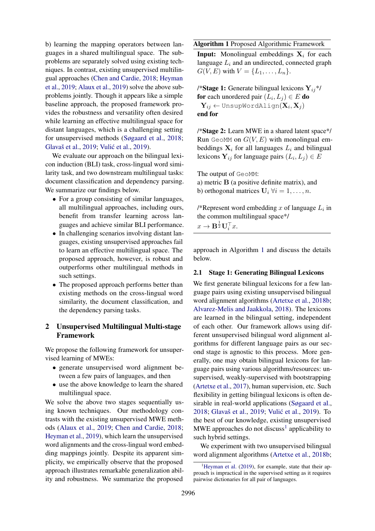b) learning the mapping operators between languages in a shared multilingual space. The subproblems are separately solved using existing techniques. In contrast, existing unsupervised multilingual approaches [\(Chen and Cardie,](#page-5-9) [2018;](#page-5-9) [Heyman](#page-5-11) [et al.,](#page-5-11) [2019;](#page-5-11) [Alaux et al.,](#page-5-10) [2019\)](#page-5-10) solve the above subproblems jointly. Though it appears like a simple baseline approach, the proposed framework provides the robustness and versatility often desired while learning an effective multilingual space for distant languages, which is a challenging setting for unsupervised methods [\(Søgaard et al.,](#page-6-9) [2018;](#page-6-9) Glavaš et al., [2019;](#page-5-12) Vulić et al., [2019\)](#page-6-11).

We evaluate our approach on the bilingual lexicon induction (BLI) task, cross-lingual word similarity task, and two downstream multilingual tasks: document classification and dependency parsing. We summarize our findings below.

- For a group consisting of similar languages, all multilingual approaches, including ours, benefit from transfer learning across languages and achieve similar BLI performance.
- In challenging scenarios involving distant languages, existing unsupervised approaches fail to learn an effective multilingual space. The proposed approach, however, is robust and outperforms other multilingual methods in such settings.
- The proposed approach performs better than existing methods on the cross-lingual word similarity, the document classification, and the dependency parsing tasks.

## 2 Unsupervised Multilingual Multi-stage Framework

We propose the following framework for unsupervised learning of MWEs:

- generate unsupervised word alignment between a few pairs of languages, and then
- use the above knowledge to learn the shared multilingual space.

We solve the above two stages sequentially using known techniques. Our methodology contrasts with the existing unsupervised MWE methods [\(Alaux et al.,](#page-5-10) [2019;](#page-5-10) [Chen and Cardie,](#page-5-9) [2018;](#page-5-9) [Heyman et al.,](#page-5-11) [2019\)](#page-5-11), which learn the unsupervised word alignments and the cross-lingual word embedding mappings jointly. Despite its apparent simplicity, we empirically observe that the proposed approach illustrates remarkable generalization ability and robustness. We summarize the proposed

<span id="page-1-0"></span>Algorithm 1 Proposed Algorithmic Framework

**Input:** Monolingual embeddings  $X_i$  for each language  $L_i$  and an undirected, connected graph  $G(V, E)$  with  $V = \{L_1, ..., L_n\}.$ 

/\*Stage 1: Generate bilingual lexicons  $Y_{ij}$ \*/ **for** each unordered pair  $(L_i, L_j) \in E$  **do**  $\mathbf{Y}_{ij} \leftarrow \texttt{UnsupWorldSign}(\mathbf{X}_i, \mathbf{X}_j)$ end for

/\*Stage 2: Learn MWE in a shared latent space\*/ Run GeoMM on  $G(V, E)$  with monolingual embeddings  $X_i$  for all languages  $L_i$  and bilingual lexicons  $Y_{ij}$  for language pairs  $(L_i, L_j) \in E$ 

The output of GeoMM: a) metric B (a positive definite matrix), and b) orthogonal matrices  $U_i \forall i = 1, \ldots, n$ .

/\*Represent word embedding x of language  $L_i$  in the common multilingual space\*/  $x \to \mathbf{B}^{\frac{1}{2}} \mathbf{U}_i^{\top} x.$ 

approach in Algorithm [1](#page-1-0) and discuss the details below.

## 2.1 Stage 1: Generating Bilingual Lexicons

We first generate bilingual lexicons for a few language pairs using existing unsupervised bilingual word alignment algorithms [\(Artetxe et al.,](#page-5-5) [2018b;](#page-5-5) [Alvarez-Melis and Jaakkola,](#page-5-6) [2018\)](#page-5-6). The lexicons are learned in the bilingual setting, independent of each other. Our framework allows using different unsupervised bilingual word alignment algorithms for different language pairs as our second stage is agnostic to this process. More generally, one may obtain bilingual lexicons for language pairs using various algorithms/resources: unsupervised, weakly-supervised with bootstrapping [\(Artetxe et al.,](#page-5-13) [2017\)](#page-5-13), human supervision, etc. Such flexibility in getting bilingual lexicons is often desirable in real-world applications [\(Søgaard et al.,](#page-6-9) [2018;](#page-6-9) Glavaš et al., [2019;](#page-5-12) Vulić et al., [2019\)](#page-6-11). To the best of our knowledge, existing unsupervised MWE approaches do not discuss<sup>[1](#page-1-1)</sup> applicability to such hybrid settings.

We experiment with two unsupervised bilingual word alignment algorithms [\(Artetxe et al.,](#page-5-5) [2018b;](#page-5-5)

<span id="page-1-1"></span><sup>&</sup>lt;sup>1</sup>[Heyman et al.](#page-5-11) [\(2019\)](#page-5-11), for example, state that their approach is impractical in the supervised setting as it requires pairwise dictionaries for all pair of languages.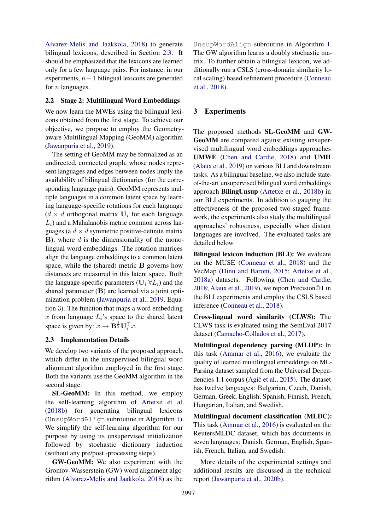[Alvarez-Melis and Jaakkola,](#page-5-6) [2018\)](#page-5-6) to generate bilingual lexicons, described in Section [2.3.](#page-2-0) It should be emphasized that the lexicons are learned only for a few language pairs. For instance, in our experiments,  $n-1$  bilingual lexicons are generated for  $n$  languages.

#### 2.2 Stage 2: Multilingual Word Embeddings

We now learn the MWEs using the bilingual lexicons obtained from the first stage. To achieve our objective, we propose to employ the Geometryaware Multilingual Mapping (GeoMM) algorithm [\(Jawanpuria et al.,](#page-6-5) [2019\)](#page-6-5).

The setting of GeoMM may be formalized as an undirected, connected graph, whose nodes represent languages and edges between nodes imply the availability of bilingual dictionaries (for the corresponding language pairs). GeoMM represents multiple languages in a common latent space by learning language-specific rotations for each language  $(d \times d)$  orthogonal matrix  $U_i$  for each language  $L_i$ ) and a Mahalanobis metric common across languages (a  $d \times d$  symmetric positive-definite matrix  $B$ ), where  $d$  is the dimensionality of the monolingual word embeddings. The rotation matrices align the language embeddings to a common latent space, while the (shared) metric B governs how distances are measured in this latent space. Both the language-specific parameters ( $U_i \,\forall L_i$ ) and the shared parameter (B) are learned via a joint optimization problem [\(Jawanpuria et al.,](#page-6-5) [2019,](#page-6-5) Equation 3). The function that maps a word embedding x from language  $L_i$ 's space to the shared latent space is given by:  $x \to \mathbf{B}^{\frac{1}{2}} \mathbf{U}_i^{\top} x$ .

## <span id="page-2-0"></span>2.3 Implementation Details

We develop two variants of the proposed approach, which differ in the unsupervised bilingual word alignment algorithm employed in the first stage. Both the variants use the GeoMM algorithm in the second stage.

SL-GeoMM: In this method, we employ the self-learning algorithm of [Artetxe et al.](#page-5-5) [\(2018b\)](#page-5-5) for generating bilingual lexicons (UnsupWordAlign subroutine in Algorithm [1\)](#page-1-0). We simplify the self-learning algorithm for our purpose by using its unsupervised initialization followed by stochastic dictionary induction (without any pre/post -processing steps).

GW-GeoMM: We also experiment with the Gromov-Wasserstein (GW) word alignment algorithm [\(Alvarez-Melis and Jaakkola,](#page-5-6) [2018\)](#page-5-6) as the

UnsupWordAlign subroutine in Algorithm [1.](#page-1-0) The GW algorithm learns a doubly stochastic matrix. To further obtain a bilingual lexicon, we additionally run a CSLS (cross-domain similarity local scaling) based refinement procedure [\(Conneau](#page-5-4) [et al.,](#page-5-4) [2018\)](#page-5-4).

## 3 Experiments

The proposed methods SL-GeoMM and GW-GeoMM are compared against existing unsupervised multilingual word embeddings approaches UMWE [\(Chen and Cardie,](#page-5-9) [2018\)](#page-5-9) and UMH [\(Alaux et al.,](#page-5-10) [2019\)](#page-5-10) on various BLI and downstream tasks. As a bilingual baseline, we also include stateof-the-art unsupervised bilingual word embeddings approach BilingUnsup [\(Artetxe et al.,](#page-5-5) [2018b\)](#page-5-5) in our BLI experiments. In addition to gauging the effectiveness of the proposed two-staged framework, the experiments also study the multilingual approaches' robustness, especially when distant languages are involved. The evaluated tasks are detailed below.

Bilingual lexicon induction (BLI): We evaluate on the MUSE [\(Conneau et al.,](#page-5-4) [2018\)](#page-5-4) and the VecMap [\(Dinu and Baroni,](#page-5-14) [2015;](#page-5-14) [Artetxe et al.,](#page-5-3) [2018a\)](#page-5-3) datasets. Following [\(Chen and Cardie,](#page-5-9) [2018;](#page-5-9) [Alaux et al.,](#page-5-10) [2019\)](#page-5-10), we report Precision@1 in the BLI experiments and employ the CSLS based inference [\(Conneau et al.,](#page-5-4) [2018\)](#page-5-4).

Cross-lingual word similarity (CLWS): The CLWS task is evaluated using the SemEval 2017 dataset [\(Camacho-Collados et al.,](#page-5-15) [2017\)](#page-5-15).

Multilingual dependency parsing (MLDP): In this task [\(Ammar et al.,](#page-5-16) [2016\)](#page-5-16), we evaluate the quality of learned multilingual embeddings on ML-Parsing dataset sampled from the Universal Depen-dencies 1.1 corpus (Agić et al., [2015\)](#page-5-17). The dataset has twelve languages: Bulgarian, Czech, Danish, German, Greek, English, Spanish, Finnish, French, Hungarian, Italian, and Swedish.

Multilingual document classification (MLDC): This task [\(Ammar et al.,](#page-5-16) [2016\)](#page-5-16) is evaluated on the ReutersMLDC dataset, which has documents in seven languages: Danish, German, English, Spanish, French, Italian, and Swedish.

More details of the experimental settings and additional results are discussed in the technical report [\(Jawanpuria et al.,](#page-6-12) [2020b\)](#page-6-12).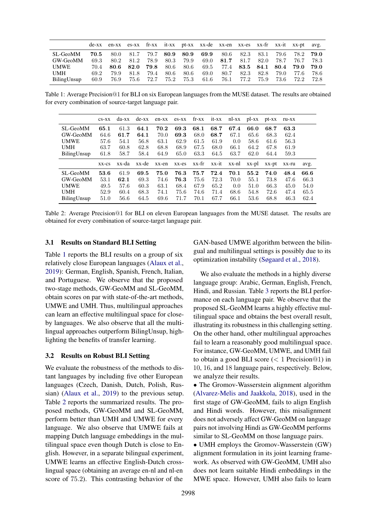<span id="page-3-0"></span>

|             |      |        |           |      |      |      | de-xx en-xx es-xx fr-xx it-xx pt-xx xx-de xx-en xx-es xx-fr xx-it xx-pt avg. |                |           |                     |        |
|-------------|------|--------|-----------|------|------|------|------------------------------------------------------------------------------|----------------|-----------|---------------------|--------|
| SL-GeoMM    | 70.5 |        | 80.0 81.7 |      |      |      | 79.7 80.9 80.9 69.9 80.6 82.3 83.1 79.6 78.2 79.0                            |                |           |                     |        |
| GW-GeoMM    | 69.3 |        | 80.2 81.2 |      |      |      | 78.9 80.3 79.9 69.0 81.7 81.7                                                |                |           | 82.0 78.7 76.7 78.3 |        |
| UMWE        | 70.4 |        |           |      |      |      | 80.6 82.0 79.8 80.6 80.6 69.5 77.4 83.5 84.1 80.4 79.0 79.0                  |                |           |                     |        |
| UMH         | 69.2 | 79.9   | 81.8      | 79.4 | 80.6 | 80.6 |                                                                              | 69.0 80.7 82.3 | 82.8 79.0 | 77.6                | - 78.6 |
| BilingUnsup | 60.9 | - 76.9 |           |      |      |      | 75.6 72.7 75.2 75.3 61.6 76.1 77.2                                           |                |           | 75.9 73.6 72.2 72.8 |        |

Table 1: Average Precision@1 for BLI on six European languages from the MUSE dataset. The results are obtained for every combination of source-target language pair.

<span id="page-3-1"></span>

|             | $CS-XX$     | da-xx | $de$ -xx |       | $en$ -xx $es$ -xx $fr$ -xx |       | it-xx | nl-xx | pl-xx | $pt-XX$ | ru-xx |      |
|-------------|-------------|-------|----------|-------|----------------------------|-------|-------|-------|-------|---------|-------|------|
| SL-GeoMM    | 65.1        | 61.3  | 64.1     | 70.2  | 69.3                       | 68.1  | 68.7  | 67.4  | 66.0  | 68.7    | 63.3  |      |
| GW-GeoMM    | 64.6        | 61.7  | 64.1     | 70.0  | 69.3                       | 68.0  | 68.7  | 67.1  | 65.6  | 68.3    | 62.4  |      |
| <b>UMWE</b> | 57.6        | 54.1  | 56.8     | 63.1  | 62.9                       | 61.5  | 61.9  | 0.0   | 58.6  | 61.6    | 56.3  |      |
| <b>UMH</b>  | 63.7        | 60.8  | 62.8     | 68.8  | 68.9                       | 67.5  | 68.0  | 66.1  | 64.2  | 67.8    | 61.9  |      |
| BilingUnsup | 61.8        | 58.7  | 58.4     | 64.9  | 65.0                       | 63.3  | 64.5  | 63.7  | 62.0  | 64.4    | 59.3  |      |
|             |             |       |          |       |                            |       |       |       |       |         |       |      |
|             | $XX$ - $CS$ | xx-da | xx-de    | xx-en | xx-es                      | xx-fr | xx-it | xx-nl | xx-pl | xx-pt   | xx-ru | avg. |
| SL-GeoMM    | 53.6        | 61.9  | 69.5     | 75.0  | 76.3                       | 75.7  | 72.4  | 70.1  | 55.2  | 74.0    | 48.4  | 66.6 |
| GW-GeoMM    | 53.1        | 62.1  | 69.3     | 74.6  | 76.3                       | 75.6  | 72.3  | 70.0  | 55.1  | 73.8    | 47.6  | 66.3 |
| <b>UMWE</b> | 49.5        | 57.6  | 60.3     | 63.1  | 68.4                       | 67.9  | 65.2  | 0.0   | 51.0  | 66.3    | 45.0  | 54.0 |
| <b>UMH</b>  | 52.9        | 60.4  | 68.3     | 74.1  | 75.6                       | 74.6  | 71.4  | 68.6  | 54.8  | 72.6    | 47.4  | 65.5 |

Table 2: Average Precision@1 for BLI on eleven European languages from the MUSE dataset. The results are obtained for every combination of source-target language pair.

#### 3.1 Results on Standard BLI Setting

Table [1](#page-3-0) reports the BLI results on a group of six relatively close European languages [\(Alaux et al.,](#page-5-10) [2019\)](#page-5-10): German, English, Spanish, French, Italian, and Portuguese. We observe that the proposed two-stage methods, GW-GeoMM and SL-GeoMM, obtain scores on par with state-of-the-art methods, UMWE and UMH. Thus, multilingual approaches can learn an effective multilingual space for closeby languages. We also observe that all the multilingual approaches outperform BilingUnsup, highlighting the benefits of transfer learning.

## 3.2 Results on Robust BLI Setting

We evaluate the robustness of the methods to distant languages by including five other European languages (Czech, Danish, Dutch, Polish, Russian) [\(Alaux et al.,](#page-5-10) [2019\)](#page-5-10) to the previous setup. Table [2](#page-3-1) reports the summarized results. The proposed methods, GW-GeoMM and SL-GeoMM, perform better than UMH and UMWE for every language. We also observe that UMWE fails at mapping Dutch language embeddings in the multilingual space even though Dutch is close to English. However, in a separate bilingual experiment, UMWE learns an effective English-Dutch crosslingual space (obtaining an average en-nl and nl-en score of 75.2). This contrasting behavior of the

GAN-based UMWE algorithm between the bilingual and multilingual settings is possibly due to its optimization instability [\(Søgaard et al.,](#page-6-9) [2018\)](#page-6-9).

We also evaluate the methods in a highly diverse language group: Arabic, German, English, French, Hindi, and Russian. Table [3](#page-4-0) reports the BLI performance on each language pair. We observe that the proposed SL-GeoMM learns a highly effective multilingual space and obtains the best overall result, illustrating its robustness in this challenging setting. On the other hand, other multilingual approaches fail to learn a reasonably good multilingual space. For instance, GW-GeoMM, UMWE, and UMH fail to obtain a good BLI score  $(< 1$  Precision@1) in 10, 16, and 18 language pairs, respectively. Below, we analyze their results.

• The Gromov-Wasserstein alignment algorithm [\(Alvarez-Melis and Jaakkola,](#page-5-6) [2018\)](#page-5-6), used in the first stage of GW-GeoMM, fails to align English and Hindi words. However, this misalignment does not adversely affect GW-GeoMM on language pairs not involving Hindi as GW-GeoMM performs similar to SL-GeoMM on those language pairs.

• UMH employs the Gromov-Wasserstein (GW) alignment formulation in its joint learning framework. As observed with GW-GeoMM, UMH also does not learn suitable Hindi embeddings in the MWE space. However, UMH also fails to learn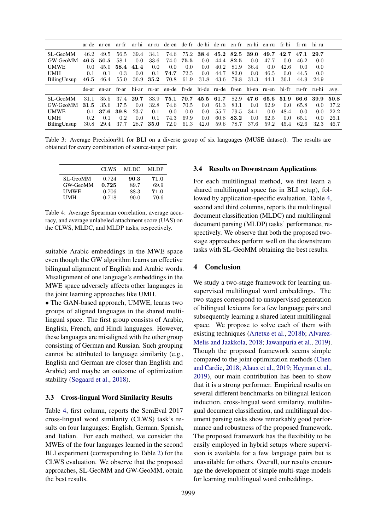<span id="page-4-0"></span>

|             | ar-de- | ar-en ar-fr ar-hi |       |               |      | ar-ru de-en de-fr de-hi de-ru en-fr en-hi en-ru                         |           |               |                          |      |               |           | fr-hi | fr-ru     | hi-ru         |      |
|-------------|--------|-------------------|-------|---------------|------|-------------------------------------------------------------------------|-----------|---------------|--------------------------|------|---------------|-----------|-------|-----------|---------------|------|
| SL-GeoMM    | 46.2   | 49.5              | 56.5  | 39.4          | 34.1 | 74.6                                                                    |           |               | 75.2 38.4 45.2 82.5 39.0 |      |               | 49.7      | 42.7  | 47.1      | 29.7          |      |
| GW-GeoMM    | 46.5   | 50.5              | 58.1  | 0.0           | 33.6 | 74.0                                                                    | 75.5      | $0.0^{\circ}$ | 44.4                     | 82.5 | $0.0^{\circ}$ | 47.7      | 0.0   | 46.2      | 0.0           |      |
| <b>UMWE</b> | 0.0    | 45.0              | 58.4  | 41.4          | 0.0  | 0.0                                                                     | 0.0       | 0.0           | 40.2                     | 81.9 | 36.4          | 0.0       | 42.6  | (0.0)     | 0.0           |      |
| <b>UMH</b>  | 0.1    | 0.1               | 0.3   | $0.0^{\circ}$ | 0.1  | 74.7                                                                    | 72.5      | $0.0^{\circ}$ | 44.7                     | 82.0 | $0.0^{\circ}$ | 46.5      | 0.0   | 44.5      | 0.0           |      |
| BilingUnsup | 46.5   | 46.4              | 55.0  | 36.9          | 35.2 | 70.8                                                                    | 61.9      | 31.8          | 43.6                     | 79.8 | 31.3          | 44.1      | 36.1  | 44.9      | 24.9          |      |
|             |        | de-ar en-ar       | fr-ar |               |      | hi-ar ru-ar en-de fr-de hi-de ru-de fr-en hi-en ru-en hi-fr ru-fr ru-hi |           |               |                          |      |               |           |       |           |               | avg. |
| SL-GeoMM    | 31.1   | 35.5              | 37.4  | 29.7          | 33.9 |                                                                         | 75.1 70.7 |               | $45.5$ 61.7              | 82.9 | 47.6          | 65.6 51.9 |       | 66.6 39.9 |               | 50.8 |
| GW-GeoMM    | 31.5   | 35.6              | 37.5  | 0.0           | 32.8 | 74.6                                                                    | 70.5      | 0.0           | 61.3                     | 83.1 | $0.0^{\circ}$ | 62.9      | 0.0   | 65.8      | $0.0^{\circ}$ | 37.2 |
| <b>UMWE</b> | 0.1    | 37.6              | 39.8  | 23.7          | 0.1  | 0.0                                                                     | 0.0       | 0.0           | 55.7                     | 79.5 | 34.1          | 0.0       | 48.4  | 0.0       | 0.0           | 22.2 |
| <b>UMH</b>  | 0.2    | 0.1               | 0.2   | 0.0           | 0.1  | 74.3                                                                    | 69.9      | 0.0           | 60.8                     | 83.2 | 0.0           | 62.5      | 0.0   | 65.1      | (0.0)         | 26.1 |
| BilingUnsup | 30.8   | 29.4              | 37.7  | 28.7          | 35.0 | 72.0                                                                    | 61.3      | 42.0          | 59.6                     | 78.7 | 37.6          | 59.2      | 45.4  | 62.6      | 32.3          | 46.7 |

Table 3: Average Precision@1 for BLI on a diverse group of six languages (MUSE dataset). The results are obtained for every combination of source-target pair.

<span id="page-4-1"></span>

|                      | CLWS           | MLDC.        | MLDP         |
|----------------------|----------------|--------------|--------------|
| SL-GeoMM<br>GW-GeoMM | 0.724<br>0.725 | 90.3<br>89.7 | 71.0<br>69.9 |
| <b>UMWE</b>          | 0.706          | 88.3         | 71.0         |
| UMH                  | 0.718          | 90.0         | 70.6         |

Table 4: Average Spearman correlation, average accuracy, and average unlabeled attachment score (UAS) on the CLWS, MLDC, and MLDP tasks, respectively.

suitable Arabic embeddings in the MWE space even though the GW algorithm learns an effective bilingual alignment of English and Arabic words. Misalignment of one language's embeddings in the MWE space adversely affects other languages in the joint learning approaches like UMH.

• The GAN-based approach, UMWE, learns two groups of aligned languages in the shared multilingual space. The first group consists of Arabic, English, French, and Hindi languages. However, these languages are misaligned with the other group consisting of German and Russian. Such grouping cannot be attributed to language similarity (e.g., English and German are closer than English and Arabic) and maybe an outcome of optimization stability [\(Søgaard et al.,](#page-6-9) [2018\)](#page-6-9).

#### 3.3 Cross-lingual Word Similarity Results

Table [4,](#page-4-1) first column, reports the SemEval 2017 cross-lingual word similarity (CLWS) task's results on four languages: English, German, Spanish, and Italian. For each method, we consider the MWEs of the four languages learned in the second BLI experiment (corresponding to Table [2\)](#page-3-1) for the CLWS evaluation. We observe that the proposed approaches, SL-GeoMM and GW-GeoMM, obtain the best results.

#### 3.4 Results on Downstream Applications

For each multilingual method, we first learn a shared multilingual space (as in BLI setup), followed by application-specific evaluation. Table [4,](#page-4-1) second and third columns, reports the multilingual document classification (MLDC) and multilingual document parsing (MLDP) tasks' performance, respectively. We observe that both the proposed twostage approaches perform well on the downstream tasks with SL-GeoMM obtaining the best results.

## 4 Conclusion

We study a two-stage framework for learning unsupervised multilingual word embeddings. The two stages correspond to unsupervised generation of bilingual lexicons for a few language pairs and subsequently learning a shared latent multilingual space. We propose to solve each of them with existing techniques [\(Artetxe et al.,](#page-5-5) [2018b;](#page-5-5) [Alvarez-](#page-5-6)[Melis and Jaakkola,](#page-5-6) [2018;](#page-5-6) [Jawanpuria et al.,](#page-6-5) [2019\)](#page-6-5). Though the proposed framework seems simple compared to the joint optimization methods [\(Chen](#page-5-9) [and Cardie,](#page-5-9) [2018;](#page-5-9) [Alaux et al.,](#page-5-10) [2019;](#page-5-10) [Heyman et al.,](#page-5-11) [2019\)](#page-5-11), our main contribution has been to show that it is a strong performer. Empirical results on several different benchmarks on bilingual lexicon induction, cross-lingual word similarity, multilingual document classification, and multilingual document parsing tasks show remarkably good performance and robustness of the proposed framework. The proposed framework has the flexibility to be easily employed in hybrid setups where supervision is available for a few language pairs but is unavailable for others. Overall, our results encourage the development of simple multi-stage models for learning multilingual word embeddings.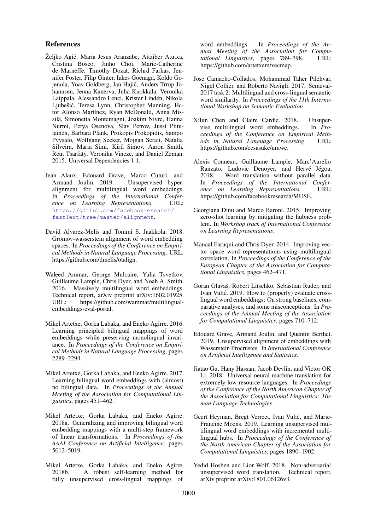#### References

- <span id="page-5-17"></span>Željko Agić, Maria Jesus Aranzabe, Aitziber Atutxa, Cristina Bosco, Jinho Choi, Marie-Catherine de Marneffe, Timothy Dozat, Richrd Farkas, Jennifer Foster, Filip Ginter, Iakes Goenaga, Koldo Gojenola, Yoav Goldberg, Jan Hajič, Anders Trrup Johannsen, Jenna Kanerva, Juha Kuokkala, Veronika Laippala, Alessandro Lenci, Krister Linden, Nikola ´ Ljubešić, Teresa Lynn, Christopher Manning, Hctor Alonso Martínez, Ryan McDonald, Anna Missilä, Simonetta Montemagni, Joakim Nivre, Hanna Nurmi, Petya Osenova, Slav Petrov, Jussi Piitulainen, Barbara Plank, Prokopis Prokopidis, Sampo Pyysalo, Wolfgang Seeker, Mojgan Seraji, Natalia Silveira, Maria Simi, Kiril Simov, Aaron Smith, Reut Tsarfaty, Veronika Vincze, and Daniel Zeman. 2015. Universal Dependencies 1.1.
- <span id="page-5-10"></span>Jean Alaux, Edouard Grave, Marco Cuturi, and Armand Joulin. 2019. Unsupervised hyperalignment for multilingual word embeddings. In *Proceedings of the International Conference on Learning Representations*. URL: [https://github.com/facebookresearch/](https://github.com/facebookresearch/fastText/tree/master/alignment) [fastText/tree/master/alignment](https://github.com/facebookresearch/fastText/tree/master/alignment).
- <span id="page-5-6"></span>David Alvarez-Melis and Tommi S. Jaakkola. 2018. Gromov-wasserstein alignment of word embedding spaces. In *Proceedings of the Conference on Empirical Methods in Natural Language Processing*. URL: https://github.com/dmelis/otalign.
- <span id="page-5-16"></span>Waleed Ammar, George Mulcaire, Yulia Tsvetkov, Guillaume Lample, Chris Dyer, and Noah A. Smith. 2016. Massively multilingual word embeddings. Technical report, arXiv preprint arXiv:1602.01925. URL: https://github.com/wammar/multilingualembeddings-eval-portal.
- <span id="page-5-1"></span>Mikel Artetxe, Gorka Labaka, and Eneko Agirre. 2016. Learning principled bilingual mappings of word embeddings while preserving monolingual invariance. In *Proceedings of the Conference on Empirical Methods in Natural Language Processing*, pages 2289–2294.
- <span id="page-5-13"></span>Mikel Artetxe, Gorka Labaka, and Eneko Agirre. 2017. Learning bilingual word embeddings with (almost) no bilingual data. In *Proceedings of the Annual Meeting of the Association for Computational Linguistics*, pages 451–462.
- <span id="page-5-3"></span>Mikel Artetxe, Gorka Labaka, and Eneko Agirre. 2018a. Generalizing and improving bilingual word embedding mappings with a multi-step framework of linear transformations. In *Proceedings of the AAAI Conference on Artificial Intelligence*, pages 5012–5019.
- <span id="page-5-5"></span>Mikel Artetxe, Gorka Labaka, and Eneko Agirre. 2018b. A robust self-learning method for fully unsupervised cross-lingual mappings of

word embeddings. In *Proceedings of the Annual Meeting of the Association for Computational Linguistics*, pages 789–798. URL: https://github.com/artetxem/vecmap.

- <span id="page-5-15"></span>Jose Camacho-Collados, Mohammad Taher Pilehvar, Nigel Collier, and Roberto Navigli. 2017. Semeval-2017 task 2: Multilingual and cross-lingual semantic word similarity. In *Proceedings of the 11th International Workshop on Semantic Evaluation*.
- <span id="page-5-9"></span>Xilun Chen and Claire Cardie. 2018. Unsuper-<br>vise multilingual word embeddings. In Provise multilingual word embeddings. *ceedings of the Conference on Empirical Methods in Natural Language Processing*. URL: https://github.com/ccsasuke/umwe.
- <span id="page-5-4"></span>Alexis Conneau, Guillaume Lample, Marc'Aurelio Ranzato, Ludovic Denoyer, and Hervé Jégou. 2018. Word translation without parallel data. In *Proceedings of the International Conference on Learning Representations*. URL: https://github.com/facebookresearch/MUSE.
- <span id="page-5-14"></span>Georgiana Dinu and Marco Baroni. 2015. Improving zero-shot learning by mitigating the hubness problem. In *Workshop track of International Conference on Learning Representations*.
- <span id="page-5-0"></span>Manaal Faruqui and Chris Dyer. 2014. Improving vector space word representations using multilingual correlation. In *Proceedings of the Conference of the European Chapter of the Association for Computational Linguistics*, pages 462–471.
- <span id="page-5-12"></span>Goran Glavaš, Robert Litschko, Sebastian Ruder, and Ivan Vulić. 2019. How to (properly) evaluate crosslingual word embeddings: On strong baselines, comparative analyses, and some misconceptions. In *Proceedings of the Annual Meeting of the Association for Computational Linguistics*, pages 710–712.
- <span id="page-5-8"></span>Edouard Grave, Armand Joulin, and Quentin Berthet. 2019. Unsupervised alignment of embeddings with Wasserstein Procrustes. In *International Conference on Artificial Intelligence and Statistics*.
- <span id="page-5-2"></span>Jiatao Gu, Hany Hassan, Jacob Devlin, and Victor OK Li. 2018. Universal neural machine translation for extremely low resource languages. In *Proceedings of the Conference of the North American Chapter of the Association for Computational Linguistics: Human Language Technologies*.
- <span id="page-5-11"></span>Geert Heyman, Bregt Verreet, Ivan Vulić, and Marie-Francine Moens. 2019. Learning unsupervised multilingual word embeddings with incremental multilingual hubs. In *Proceedings of the Conference of the North American Chapter of the Association for Computational Linguistics*, pages 1890–1902.
- <span id="page-5-7"></span>Yedid Hoshen and Lior Wolf. 2018. Non-adversarial unsupervised word translation. Technical report, arXiv preprint arXiv:1801.06126v3.